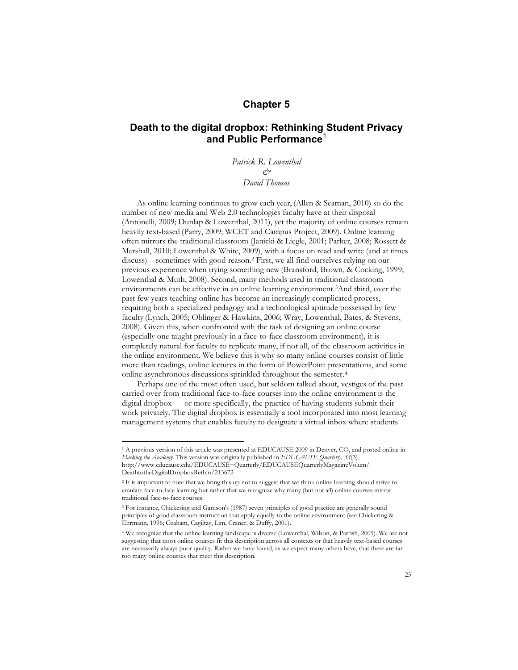## **Chapter 5**

# **Death to the digital dropbox: Rethinking Student Privacy and Public Performance**<sup>1</sup>

*Patrick R. Lowenthal & David Thomas* 

As online learning continues to grow each year, (Allen & Seaman, 2010) so do the number of new media and Web 2.0 technologies faculty have at their disposal (Antonelli, 2009; Dunlap & Lowenthal, 2011), yet the majority of online courses remain heavily text-based (Parry, 2009; WCET and Campus Project, 2009). Online learning often mirrors the traditional classroom (Janicki & Liegle, 2001; Parker, 2008; Rossett & Marshall, 2010; Lowenthal & White, 2009), with a focus on read and write (and at times discuss)—sometimes with good reason. <sup>2</sup> First, we all find ourselves relying on our previous experience when trying something new (Bransford, Brown, & Cocking, 1999; Lowenthal & Muth, 2008). Second, many methods used in traditional classroom environments can be effective in an online learning environment.3And third, over the past few years teaching online has become an increasingly complicated process, requiring both a specialized pedagogy and a technological aptitude possessed by few faculty (Lynch, 2005; Oblinger & Hawkins, 2006; Wray, Lowenthal, Bates, & Stevens, 2008). Given this, when confronted with the task of designing an online course (especially one taught previously in a face-to-face classroom environment), it is completely natural for faculty to replicate many, if not all, of the classroom activities in the online environment. We believe this is why so many online courses consist of little more than readings, online lectures in the form of PowerPoint presentations, and some online asynchronous discussions sprinkled throughout the semester.4

Perhaps one of the most often used, but seldom talked about, vestiges of the past carried over from traditional face-to-face courses into the online environment is the digital dropbox — or more specifically, the practice of having students submit their work privately. The digital dropbox is essentially a tool incorporated into most learning management systems that enables faculty to designate a virtual inbox where students

<sup>&</sup>lt;sup>1</sup> A previous version of this article was presented at EDUCAUSE 2009 in Denver, CO, and posted online in *Hacking the Academy*. This version was originally published in *EDUCAUSE Quarterly, 33*(3). http://www.educause.edu/EDUCAUSE+Quarterly/EDUCAUSEQuarterlyMagazineVolum/ DeathtotheDigitalDropboxRethin/213672

<sup>2</sup> It is important to note that we bring this up not to suggest that we think online learning should strive to emulate face-to-face learning but rather that we recognize why many (but not all) online courses mirror traditional face-to-face courses.

<sup>3</sup> For instance, Chickering and Gamson's (1987) seven principles of good practice are generally sound principles of good classroom instruction that apply equally to the online environment (see Chickering & Ehrmann, 1996; Graham, Cagiltay, Lim, Craner, & Duffy, 2001).

<sup>4</sup> We recognize that the online learning landscape is diverse (Lowenthal, Wilson, & Parrish, 2009). We are not suggesting that most online courses fit this description across all contexts or that heavily text-based courses are necessarily always poor quality. Rather we have found, as we expect many others have, that there are far too many online courses that meet this description.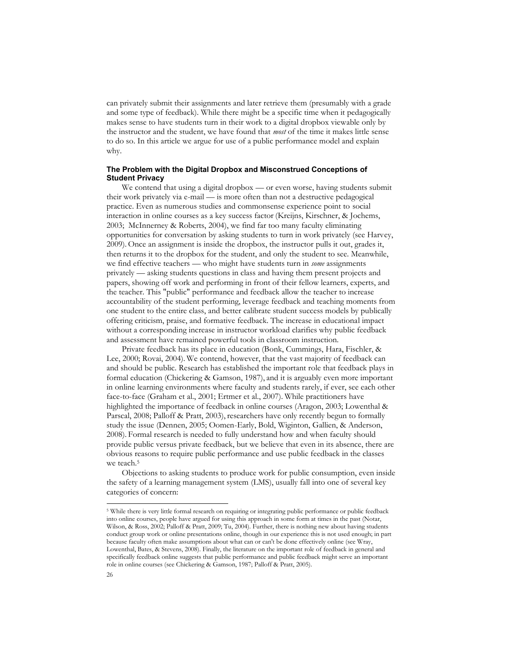can privately submit their assignments and later retrieve them (presumably with a grade and some type of feedback). While there might be a specific time when it pedagogically makes sense to have students turn in their work to a digital dropbox viewable only by the instructor and the student, we have found that *most* of the time it makes little sense to do so. In this article we argue for use of a public performance model and explain why.

### **The Problem with the Digital Dropbox and Misconstrued Conceptions of Student Privacy**

We contend that using a digital dropbox — or even worse, having students submit their work privately via e-mail — is more often than not a destructive pedagogical practice. Even as numerous studies and commonsense experience point to social interaction in online courses as a key success factor (Kreijns, Kirschner, & Jochems, 2003; McInnerney & Roberts, 2004), we find far too many faculty eliminating opportunities for conversation by asking students to turn in work privately (see Harvey, 2009). Once an assignment is inside the dropbox, the instructor pulls it out, grades it, then returns it to the dropbox for the student, and only the student to see. Meanwhile, we find effective teachers — who might have students turn in *some* assignments privately — asking students questions in class and having them present projects and papers, showing off work and performing in front of their fellow learners, experts, and the teacher. This "public" performance and feedback allow the teacher to increase accountability of the student performing, leverage feedback and teaching moments from one student to the entire class, and better calibrate student success models by publically offering criticism, praise, and formative feedback. The increase in educational impact without a corresponding increase in instructor workload clarifies why public feedback and assessment have remained powerful tools in classroom instruction.

Private feedback has its place in education (Bonk, Cummings, Hara, Fischler, & Lee, 2000; Rovai, 2004). We contend, however, that the vast majority of feedback can and should be public. Research has established the important role that feedback plays in formal education (Chickering & Gamson, 1987), and it is arguably even more important in online learning environments where faculty and students rarely, if ever, see each other face-to-face (Graham et al., 2001; Ertmer et al., 2007). While practitioners have highlighted the importance of feedback in online courses (Aragon, 2003; Lowenthal & Parscal, 2008; Palloff & Pratt, 2003), researchers have only recently begun to formally study the issue (Dennen, 2005; Oomen-Early, Bold, Wiginton, Gallien, & Anderson, 2008). Formal research is needed to fully understand how and when faculty should provide public versus private feedback, but we believe that even in its absence, there are obvious reasons to require public performance and use public feedback in the classes we teach.<sup>5</sup>

Objections to asking students to produce work for public consumption, even inside the safety of a learning management system (LMS), usually fall into one of several key categories of concern:

 <sup>5</sup> While there is very little formal research on requiring or integrating public performance or public feedback into online courses, people have argued for using this approach in some form at times in the past (Notar, Wilson, & Ross, 2002; Palloff & Pratt, 2009; Tu, 2004). Further, there is nothing new about having students conduct group work or online presentations online, though in our experience this is not used enough; in part because faculty often make assumptions about what can or can't be done effectively online (see Wray, Lowenthal, Bates, & Stevens, 2008). Finally, the literature on the important role of feedback in general and specifically feedback online suggests that public performance and public feedback might serve an important role in online courses (see Chickering & Gamson, 1987; Palloff & Pratt, 2005).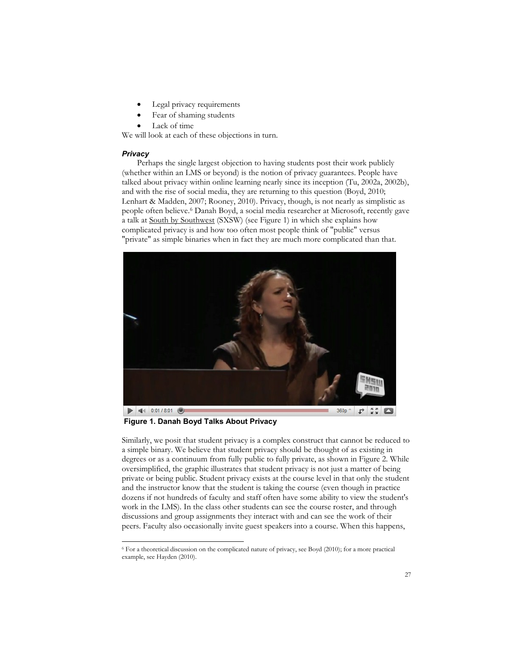- Legal privacy requirements
- Fear of shaming students
- Lack of time

We will look at each of these objections in turn.

## *Privacy*

Perhaps the single largest objection to having students post their work publicly (whether within an LMS or beyond) is the notion of privacy guarantees. People have talked about privacy within online learning nearly since its inception (Tu, 2002a, 2002b), and with the rise of social media, they are returning to this question (Boyd, 2010; Lenhart & Madden, 2007; Rooney, 2010). Privacy, though, is not nearly as simplistic as people often believe.6 Danah Boyd, a social media researcher at Microsoft, recently gave a talk at South by Southwest (SXSW) (see Figure 1) in which she explains how complicated privacy is and how too often most people think of "public" versus "private" as simple binaries when in fact they are much more complicated than that.



**Figure 1. Danah Boyd Talks About Privacy**

Similarly, we posit that student privacy is a complex construct that cannot be reduced to a simple binary. We believe that student privacy should be thought of as existing in degrees or as a continuum from fully public to fully private, as shown in Figure 2. While oversimplified, the graphic illustrates that student privacy is not just a matter of being private or being public. Student privacy exists at the course level in that only the student and the instructor know that the student is taking the course (even though in practice dozens if not hundreds of faculty and staff often have some ability to view the student's work in the LMS). In the class other students can see the course roster, and through discussions and group assignments they interact with and can see the work of their peers. Faculty also occasionally invite guest speakers into a course. When this happens,

 <sup>6</sup> For a theoretical discussion on the complicated nature of privacy, see Boyd (2010); for a more practical example, see Hayden (2010).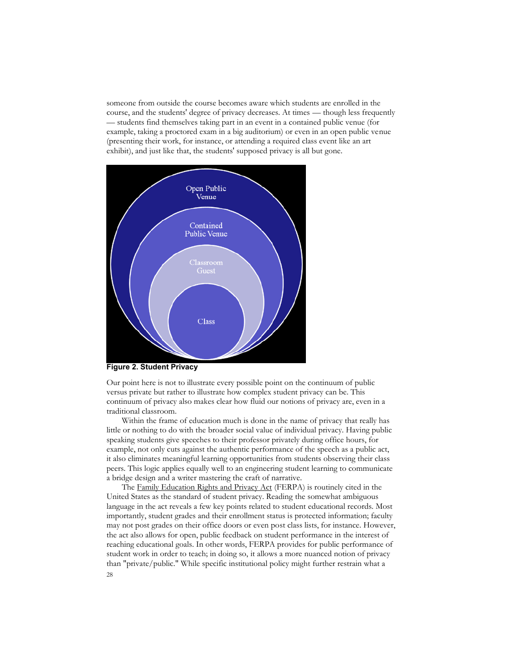someone from outside the course becomes aware which students are enrolled in the course, and the students' degree of privacy decreases. At times — though less frequently — students find themselves taking part in an event in a contained public venue (for example, taking a proctored exam in a big auditorium) or even in an open public venue (presenting their work, for instance, or attending a required class event like an art exhibit), and just like that, the students' supposed privacy is all but gone.



**Figure 2. Student Privacy**

Our point here is not to illustrate every possible point on the continuum of public versus private but rather to illustrate how complex student privacy can be. This continuum of privacy also makes clear how fluid our notions of privacy are, even in a traditional classroom.

Within the frame of education much is done in the name of privacy that really has little or nothing to do with the broader social value of individual privacy. Having public speaking students give speeches to their professor privately during office hours, for example, not only cuts against the authentic performance of the speech as a public act, it also eliminates meaningful learning opportunities from students observing their class peers. This logic applies equally well to an engineering student learning to communicate a bridge design and a writer mastering the craft of narrative.

28 The Family Education Rights and Privacy Act (FERPA) is routinely cited in the United States as the standard of student privacy. Reading the somewhat ambiguous language in the act reveals a few key points related to student educational records. Most importantly, student grades and their enrollment status is protected information; faculty may not post grades on their office doors or even post class lists, for instance. However, the act also allows for open, public feedback on student performance in the interest of reaching educational goals. In other words, FERPA provides for public performance of student work in order to teach; in doing so, it allows a more nuanced notion of privacy than "private/public." While specific institutional policy might further restrain what a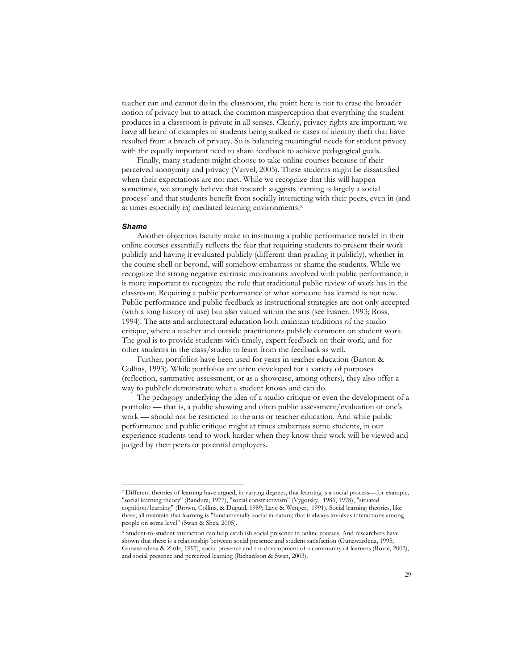teacher can and cannot do in the classroom, the point here is not to erase the broader notion of privacy but to attack the common misperception that everything the student produces in a classroom is private in all senses. Clearly, privacy rights are important; we have all heard of examples of students being stalked or cases of identity theft that have resulted from a breach of privacy. So is balancing meaningful needs for student privacy with the equally important need to share feedback to achieve pedagogical goals.

Finally, many students might choose to take online courses because of their perceived anonymity and privacy (Varvel, 2005). These students might be dissatisfied when their expectations are not met. While we recognize that this will happen sometimes, we strongly believe that research suggests learning is largely a social process<sup>7</sup> and that students benefit from socially interacting with their peers, even in (and at times especially in) mediated learning environments.8

#### *Shame*

Another objection faculty make to instituting a public performance model in their online courses essentially reflects the fear that requiring students to present their work publicly and having it evaluated publicly (different than grading it publicly), whether in the course shell or beyond, will somehow embarrass or shame the students. While we recognize the strong negative extrinsic motivations involved with public performance, it is more important to recognize the role that traditional public review of work has in the classroom. Requiring a public performance of what someone has learned is not new. Public performance and public feedback as instructional strategies are not only accepted (with a long history of use) but also valued within the arts (see Eisner, 1993; Ross, 1994). The arts and architectural education both maintain traditions of the studio critique, where a teacher and outside practitioners publicly comment on student work. The goal is to provide students with timely, expert feedback on their work, and for other students in the class/studio to learn from the feedback as well.

Further, portfolios have been used for years in teacher education (Barton & Collins, 1993). While portfolios are often developed for a variety of purposes (reflection, summative assessment, or as a showcase, among others), they also offer a way to publicly demonstrate what a student knows and can do.

The pedagogy underlying the idea of a studio critique or even the development of a portfolio — that is, a public showing and often public assessment/evaluation of one's work — should not be restricted to the arts or teacher education. And while public performance and public critique might at times embarrass some students, in our experience students tend to work harder when they know their work will be viewed and judged by their peers or potential employers.

 <sup>7</sup> Different theories of learning have argued, in varying degrees, that learning is a social process—for example, "social learning theory" (Bandura, 1977), "social constructivism" (Vygotsky, 1986, 1978), "situated cognition/learning" (Brown, Collins, & Duguid, 1989; Lave & Wenger, 1991). Social learning theories, like these, all maintain that learning is "fundamentally social in nature; that it always involves interactions among people on some level" (Swan & Shea, 2005).

<sup>8</sup> Student-to-student interaction can help establish social presence in online courses. And researchers have shown that there is a relationship between social presence and student satisfaction (Gunawardena, 1995; Gunawardena & Zittle, 1997), social presence and the development of a community of learners (Rovai, 2002), and social presence and perceived learning (Richardson & Swan, 2003).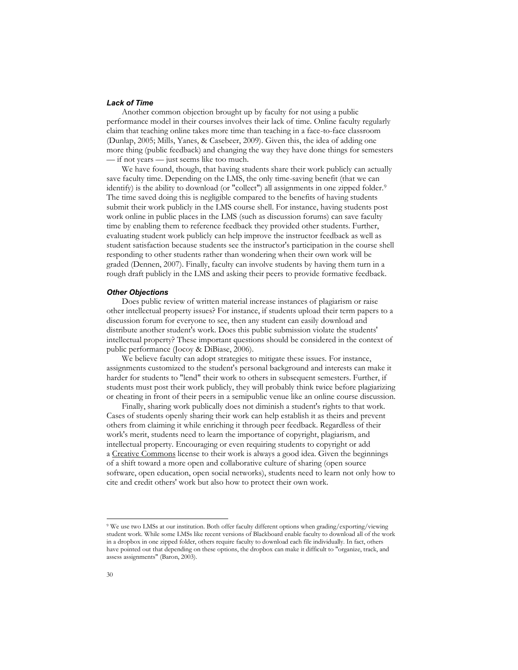## *Lack of Time*

Another common objection brought up by faculty for not using a public performance model in their courses involves their lack of time. Online faculty regularly claim that teaching online takes more time than teaching in a face-to-face classroom (Dunlap, 2005; Mills, Yanes, & Casebeer, 2009). Given this, the idea of adding one more thing (public feedback) and changing the way they have done things for semesters — if not years — just seems like too much.

We have found, though, that having students share their work publicly can actually save faculty time. Depending on the LMS, the only time-saving benefit (that we can identify) is the ability to download (or "collect") all assignments in one zipped folder.<sup>9</sup> The time saved doing this is negligible compared to the benefits of having students submit their work publicly in the LMS course shell. For instance, having students post work online in public places in the LMS (such as discussion forums) can save faculty time by enabling them to reference feedback they provided other students. Further, evaluating student work publicly can help improve the instructor feedback as well as student satisfaction because students see the instructor's participation in the course shell responding to other students rather than wondering when their own work will be graded (Dennen, 2007). Finally, faculty can involve students by having them turn in a rough draft publicly in the LMS and asking their peers to provide formative feedback.

#### *Other Objections*

Does public review of written material increase instances of plagiarism or raise other intellectual property issues? For instance, if students upload their term papers to a discussion forum for everyone to see, then any student can easily download and distribute another student's work. Does this public submission violate the students' intellectual property? These important questions should be considered in the context of public performance (Jocoy & DiBiase, 2006).

We believe faculty can adopt strategies to mitigate these issues. For instance, assignments customized to the student's personal background and interests can make it harder for students to "lend" their work to others in subsequent semesters. Further, if students must post their work publicly, they will probably think twice before plagiarizing or cheating in front of their peers in a semipublic venue like an online course discussion.

Finally, sharing work publically does not diminish a student's rights to that work. Cases of students openly sharing their work can help establish it as theirs and prevent others from claiming it while enriching it through peer feedback. Regardless of their work's merit, students need to learn the importance of copyright, plagiarism, and intellectual property. Encouraging or even requiring students to copyright or add a Creative Commons license to their work is always a good idea. Given the beginnings of a shift toward a more open and collaborative culture of sharing (open source software, open education, open social networks), students need to learn not only how to cite and credit others' work but also how to protect their own work.

 <sup>9</sup> We use two LMSs at our institution. Both offer faculty different options when grading/exporting/viewing student work. While some LMSs like recent versions of Blackboard enable faculty to download all of the work in a dropbox in one zipped folder, others require faculty to download each file individually. In fact, others have pointed out that depending on these options, the dropbox can make it difficult to "organize, track, and assess assignments" (Baron, 2003).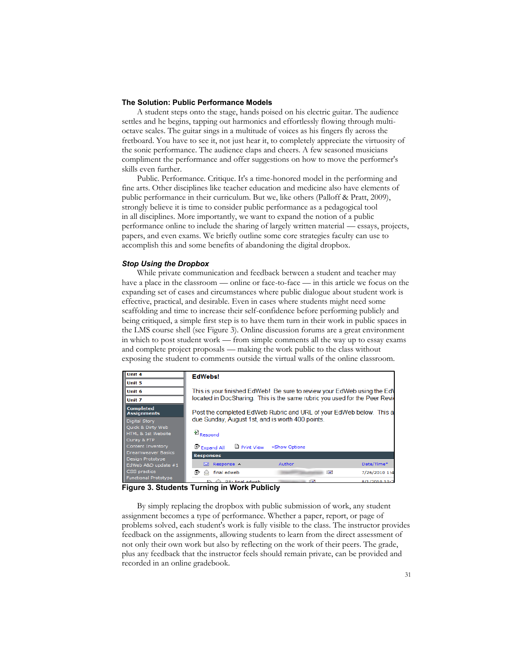## **The Solution: Public Performance Models**

A student steps onto the stage, hands poised on his electric guitar. The audience settles and he begins, tapping out harmonics and effortlessly flowing through multioctave scales. The guitar sings in a multitude of voices as his fingers fly across the fretboard. You have to see it, not just hear it, to completely appreciate the virtuosity of the sonic performance. The audience claps and cheers. A few seasoned musicians compliment the performance and offer suggestions on how to move the performer's skills even further.

Public. Performance. Critique. It's a time-honored model in the performing and fine arts. Other disciplines like teacher education and medicine also have elements of public performance in their curriculum. But we, like others (Palloff & Pratt, 2009), strongly believe it is time to consider public performance as a pedagogical tool in all disciplines. More importantly, we want to expand the notion of a public performance online to include the sharing of largely written material — essays, projects, papers, and even exams. We briefly outline some core strategies faculty can use to accomplish this and some benefits of abandoning the digital dropbox.

## *Stop Using the Dropbox*

While private communication and feedback between a student and teacher may have a place in the classroom — online or face-to-face — in this article we focus on the expanding set of cases and circumstances where public dialogue about student work is effective, practical, and desirable. Even in cases where students might need some scaffolding and time to increase their self-confidence before performing publicly and being critiqued, a simple first step is to have them turn in their work in public spaces in the LMS course shell (see Figure 3). Online discussion forums are a great environment in which to post student work — from simple comments all the way up to essay exams and complete project proposals — making the work public to the class without exposing the student to comments outside the virtual walls of the online classroom.

| <b>Unit 4</b>                                          | <b>EdWebs!</b>                                                                                                                                                                                                                                                                   |               |                            |
|--------------------------------------------------------|----------------------------------------------------------------------------------------------------------------------------------------------------------------------------------------------------------------------------------------------------------------------------------|---------------|----------------------------|
| Unit 5                                                 |                                                                                                                                                                                                                                                                                  |               |                            |
| Unit 6                                                 | This is your finished EdWeb! Be sure to review your EdWeb using the EdV<br>located in DocSharing. This is the same rubric you used for the Peer Revie<br>Post the completed EdWeb Rubric and URL of your EdWeb below. This a<br>due Sunday, August 1st, and is worth 400 points. |               |                            |
| Unit 7                                                 |                                                                                                                                                                                                                                                                                  |               |                            |
| Completed<br><b>Assignments</b>                        |                                                                                                                                                                                                                                                                                  |               |                            |
| Digital Story                                          |                                                                                                                                                                                                                                                                                  |               |                            |
| Quick & Dirty Web<br>HTML & 1st Website<br>Ouray & FTP | <sup>E</sup> Respond                                                                                                                                                                                                                                                             |               |                            |
| Content Inventory                                      | $\Box$ Print View<br>Expand All                                                                                                                                                                                                                                                  | »Show Options |                            |
| Dreamweaver Basics                                     | <b>Responses</b>                                                                                                                                                                                                                                                                 |               |                            |
| Design Prototype<br>EdWeb A&D update #1                | Response ^<br>⊠                                                                                                                                                                                                                                                                  | Author        | Date/Time*                 |
| CSS practice                                           | R<br>final edweb                                                                                                                                                                                                                                                                 | ⊟             | 7/26/2010 1:4              |
| Functional Prototype                                   | <b>D.</b> A. Br. Carl advised                                                                                                                                                                                                                                                    | ाञ्च          | $0.14$ <i>Inner</i> $0.80$ |

**Figure 3. Students Turning in Work Publicly**

By simply replacing the dropbox with public submission of work, any student assignment becomes a type of performance. Whether a paper, report, or page of problems solved, each student's work is fully visible to the class. The instructor provides feedback on the assignments, allowing students to learn from the direct assessment of not only their own work but also by reflecting on the work of their peers. The grade, plus any feedback that the instructor feels should remain private, can be provided and recorded in an online gradebook.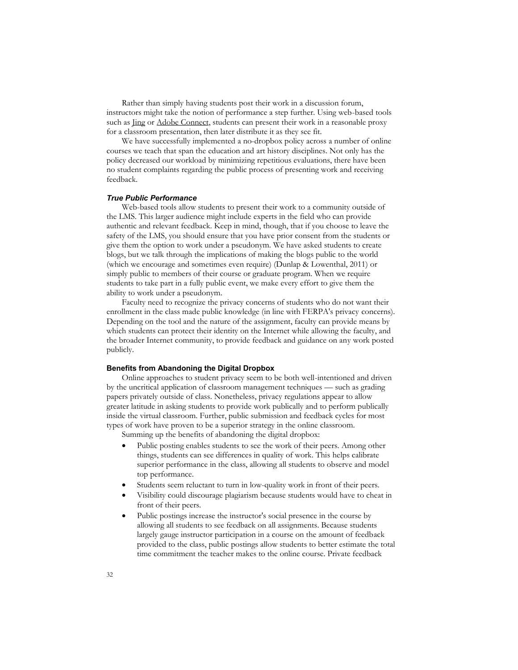Rather than simply having students post their work in a discussion forum, instructors might take the notion of performance a step further. Using web-based tools such as Jing or Adobe Connect, students can present their work in a reasonable proxy for a classroom presentation, then later distribute it as they see fit.

We have successfully implemented a no-dropbox policy across a number of online courses we teach that span the education and art history disciplines. Not only has the policy decreased our workload by minimizing repetitious evaluations, there have been no student complaints regarding the public process of presenting work and receiving feedback.

#### *True Public Performance*

Web-based tools allow students to present their work to a community outside of the LMS. This larger audience might include experts in the field who can provide authentic and relevant feedback. Keep in mind, though, that if you choose to leave the safety of the LMS, you should ensure that you have prior consent from the students or give them the option to work under a pseudonym. We have asked students to create blogs, but we talk through the implications of making the blogs public to the world (which we encourage and sometimes even require) (Dunlap & Lowenthal, 2011) or simply public to members of their course or graduate program. When we require students to take part in a fully public event, we make every effort to give them the ability to work under a pseudonym.

Faculty need to recognize the privacy concerns of students who do not want their enrollment in the class made public knowledge (in line with FERPA's privacy concerns). Depending on the tool and the nature of the assignment, faculty can provide means by which students can protect their identity on the Internet while allowing the faculty, and the broader Internet community, to provide feedback and guidance on any work posted publicly.

#### **Benefits from Abandoning the Digital Dropbox**

Online approaches to student privacy seem to be both well-intentioned and driven by the uncritical application of classroom management techniques — such as grading papers privately outside of class. Nonetheless, privacy regulations appear to allow greater latitude in asking students to provide work publically and to perform publically inside the virtual classroom. Further, public submission and feedback cycles for most types of work have proven to be a superior strategy in the online classroom. Summing up the benefits of abandoning the digital dropbox:

- Public posting enables students to see the work of their peers. Among other things, students can see differences in quality of work. This helps calibrate superior performance in the class, allowing all students to observe and model top performance.
- Students seem reluctant to turn in low-quality work in front of their peers.
- Visibility could discourage plagiarism because students would have to cheat in front of their peers.
- Public postings increase the instructor's social presence in the course by allowing all students to see feedback on all assignments. Because students largely gauge instructor participation in a course on the amount of feedback provided to the class, public postings allow students to better estimate the total time commitment the teacher makes to the online course. Private feedback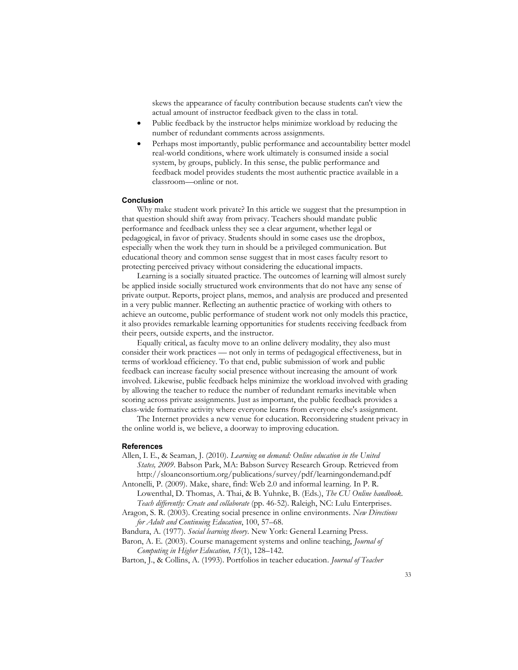skews the appearance of faculty contribution because students can't view the actual amount of instructor feedback given to the class in total.

- Public feedback by the instructor helps minimize workload by reducing the number of redundant comments across assignments.
- Perhaps most importantly, public performance and accountability better model real-world conditions, where work ultimately is consumed inside a social system, by groups, publicly. In this sense, the public performance and feedback model provides students the most authentic practice available in a classroom—online or not.

#### **Conclusion**

Why make student work private? In this article we suggest that the presumption in that question should shift away from privacy. Teachers should mandate public performance and feedback unless they see a clear argument, whether legal or pedagogical, in favor of privacy. Students should in some cases use the dropbox, especially when the work they turn in should be a privileged communication. But educational theory and common sense suggest that in most cases faculty resort to protecting perceived privacy without considering the educational impacts.

Learning is a socially situated practice. The outcomes of learning will almost surely be applied inside socially structured work environments that do not have any sense of private output. Reports, project plans, memos, and analysis are produced and presented in a very public manner. Reflecting an authentic practice of working with others to achieve an outcome, public performance of student work not only models this practice, it also provides remarkable learning opportunities for students receiving feedback from their peers, outside experts, and the instructor.

Equally critical, as faculty move to an online delivery modality, they also must consider their work practices — not only in terms of pedagogical effectiveness, but in terms of workload efficiency. To that end, public submission of work and public feedback can increase faculty social presence without increasing the amount of work involved. Likewise, public feedback helps minimize the workload involved with grading by allowing the teacher to reduce the number of redundant remarks inevitable when scoring across private assignments. Just as important, the public feedback provides a class-wide formative activity where everyone learns from everyone else's assignment.

The Internet provides a new venue for education. Reconsidering student privacy in the online world is, we believe, a doorway to improving education.

#### **References**

Allen, I. E., & Seaman, J. (2010). *Learning on demand: Online education in the United States, 2009*. Babson Park, MA: Babson Survey Research Group. Retrieved from http://sloanconsortium.org/publications/survey/pdf/learningondemand.pdf

Antonelli, P. (2009). Make, share, find: Web 2.0 and informal learning. In P. R. Lowenthal, D. Thomas, A. Thai, & B. Yuhnke, B. (Eds.), *The CU Online handbook. Teach differently: Create and collaborate* (pp. 46-52). Raleigh, NC: Lulu Enterprises.

Aragon, S. R. (2003). Creating social presence in online environments*. New Directions for Adult and Continuing Education*, 100, 57–68.

Bandura, A. (1977). *Social learning theory*. New York: General Learning Press.

Baron, A. E. (2003). Course management systems and online teaching, *Journal of Computing in Higher Education, 15*(1), 128–142.

Barton, J., & Collins, A. (1993). Portfolios in teacher education*. Journal of Teacher*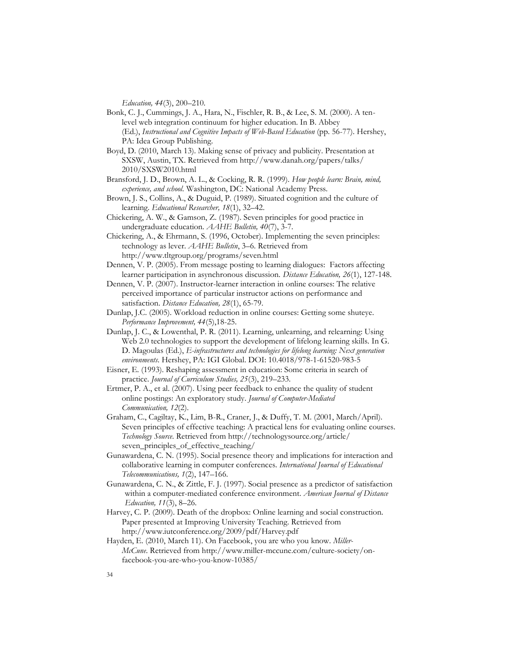*Education, 44*(3), 200–210.

- Bonk, C. J., Cummings, J. A., Hara, N., Fischler, R. B., & Lee, S. M. (2000). A tenlevel web integration continuum for higher education. In B. Abbey (Ed.), *Instructional and Cognitive Impacts of Web-Based Education* (pp. 56-77). Hershey, PA: Idea Group Publishing.
- Boyd, D. (2010, March 13). Making sense of privacy and publicity. Presentation at SXSW, Austin, TX. Retrieved from http://www.danah.org/papers/talks/ 2010/SXSW2010.html
- Bransford, J. D., Brown, A. L., & Cocking, R. R. (1999). *How people learn: Brain, mind, experience, and school*. Washington, DC: National Academy Press.
- Brown, J. S., Collins, A., & Duguid, P. (1989). Situated cognition and the culture of learning. *Educational Researcher, 18*(1), 32–42.
- Chickering, A. W., & Gamson, Z. (1987). Seven principles for good practice in undergraduate education. *AAHE Bulletin, 40*(7), 3-7.
- Chickering, A., & Ehrmann, S. (1996, October). Implementing the seven principles: technology as lever. *AAHE Bulletin*, 3–6. Retrieved from http://www.tltgroup.org/programs/seven.html
- Dennen, V. P. (2005). From message posting to learning dialogues: Factors affecting learner participation in asynchronous discussion. *Distance Education, 26*(1), 127-148.
- Dennen, V. P. (2007). Instructor-learner interaction in online courses: The relative perceived importance of particular instructor actions on performance and satisfaction. *Distance Education, 28*(1), 65-79.
- Dunlap, J.C. (2005). Workload reduction in online courses: Getting some shuteye. *Performance Improvement, 44*(5),18-25.
- Dunlap, J. C., & Lowenthal, P. R. (2011). Learning, unlearning, and relearning: Using Web 2.0 technologies to support the development of lifelong learning skills. In G. D. Magoulas (Ed.), *E-infrastructures and technologies for lifelong learning: Next generation environments*. Hershey, PA: IGI Global. DOI: 10.4018/978-1-61520-983-5
- Eisner, E. (1993). Reshaping assessment in education: Some criteria in search of practice. *Journal of Curriculum Studies, 25*(3), 219–233.
- Ertmer, P. A., et al. (2007). Using peer feedback to enhance the quality of student online postings: An exploratory study. *Journal of Computer-Mediated Communication, 12*(2).
- Graham, C., Cagiltay, K., Lim, B-R., Craner, J., & Duffy, T. M. (2001, March/April). Seven principles of effective teaching: A practical lens for evaluating online courses. *Technology Source*. Retrieved from http://technologysource.org/article/ seven\_principles\_of\_effective\_teaching/
- Gunawardena, C. N. (1995). Social presence theory and implications for interaction and collaborative learning in computer conferences. *International Journal of Educational Telecommunications, 1*(2), 147–166.
- Gunawardena, C. N., & Zittle, F. J. (1997). Social presence as a predictor of satisfaction within a computer-mediated conference environment. *American Journal of Distance Education, 11*(3), 8–26.
- Harvey, C. P. (2009). Death of the dropbox: Online learning and social construction. Paper presented at Improving University Teaching. Retrieved from http://www.iutconference.org/2009/pdf/Harvey.pdf
- Hayden, E. (2010, March 11). On Facebook, you are who you know. *Miller-McCune*. Retrieved from http://www.miller-mccune.com/culture-society/onfacebook-you-are-who-you-know-10385/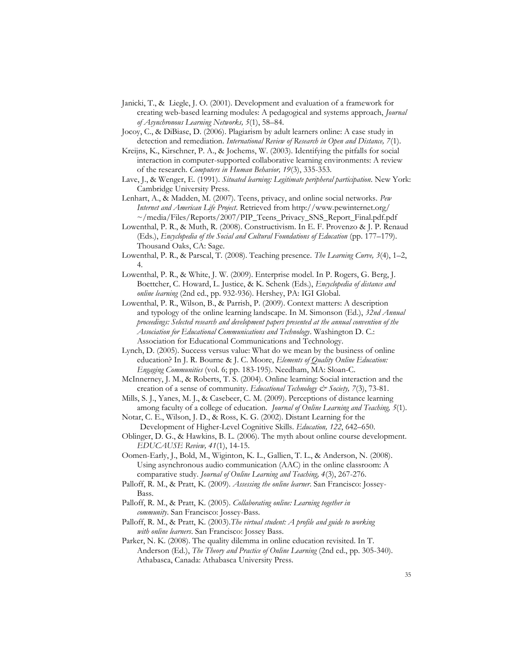- Janicki, T., & Liegle, J. O. (2001). Development and evaluation of a framework for creating web-based learning modules: A pedagogical and systems approach, *Journal of Asynchronous Learning Networks, 5*(1), 58–84.
- Jocoy, C., & DiBiase, D. (2006). Plagiarism by adult learners online: A case study in detection and remediation. *International Review of Research in Open and Distance, 7*(1).
- Kreijns, K., Kirschner, P. A., & Jochems, W. (2003). Identifying the pitfalls for social interaction in computer-supported collaborative learning environments: A review of the research. *Computers in Human Behavior, 19*(3), 335-353.

Lave, J., & Wenger, E. (1991). *Situated learning: Legitimate peripheral participation*. New York: Cambridge University Press.

- Lenhart, A., & Madden, M. (2007). Teens, privacy, and online social networks. *Pew Internet and American Life Project*. Retrieved from http://www.pewinternet.org/ ~/media/Files/Reports/2007/PIP\_Teens\_Privacy\_SNS\_Report\_Final.pdf.pdf
- Lowenthal, P. R., & Muth, R. (2008). Constructivism. In E. F. Provenzo & J. P. Renaud (Eds.), *Encyclopedia of the Social and Cultural Foundations of Education* (pp. 177–179). Thousand Oaks, CA: Sage.
- Lowenthal, P. R., & Parscal, T. (2008). Teaching presence. *The Learning Curve, 3*(4), 1–2, 4.
- Lowenthal, P. R., & White, J. W. (2009). Enterprise model. In P. Rogers, G. Berg, J. Boettcher, C. Howard, L. Justice, & K. Schenk (Eds.), *Encyclopedia of distance and online learning* (2nd ed., pp. 932-936). Hershey, PA: IGI Global.
- Lowenthal, P. R., Wilson, B., & Parrish, P. (2009). Context matters: A description and typology of the online learning landscape. In M. Simonson (Ed.), *32nd Annual proceedings: Selected research and development papers presented at the annual convention of the Association for Educational Communications and Technology*. Washington D. C.: Association for Educational Communications and Technology.
- Lynch, D. (2005). Success versus value: What do we mean by the business of online education? In J. R. Bourne & J. C. Moore, *Elements of Quality Online Education: Engaging Communities* (vol. 6; pp. 183-195). Needham, MA: Sloan-C.
- McInnerney, J. M., & Roberts, T. S. (2004). Online learning: Social interaction and the creation of a sense of community. *Educational Technology & Society, 7*(3), 73-81.
- Mills, S. J., Yanes, M. J., & Casebeer, C. M. (2009). Perceptions of distance learning among faculty of a college of education*. Journal of Online Learning and Teaching, 5*(1).
- Notar, C. E., Wilson, J. D., & Ross, K. G. (2002). Distant Learning for the Development of Higher-Level Cognitive Skills. *Education, 122*, 642–650.
- Oblinger, D. G., & Hawkins, B. L. (2006). The myth about online course development. *EDUCAUSE Review, 41*(1), 14-15.
- Oomen-Early, J., Bold, M., Wiginton, K. L., Gallien, T. L., & Anderson, N. (2008). Using asynchronous audio communication (AAC) in the online classroom: A comparative study. *Journal of Online Learning and Teaching, 4*(3), 267-276.
- Palloff, R. M., & Pratt, K. (2009). *Assessing the online learner*. San Francisco: Jossey-Bass.
- Palloff, R. M., & Pratt, K. (2005). *Collaborating online: Learning together in community*. San Francisco: Jossey-Bass.
- Palloff, R. M., & Pratt, K. (2003).*The virtual student: A profile and guide to working with online learners*. San Francisco: Jossey Bass.
- Parker, N. K. (2008). The quality dilemma in online education revisited. In T. Anderson (Ed.), *The Theory and Practice of Online Learning* (2nd ed., pp. 305-340). Athabasca, Canada: Athabasca University Press.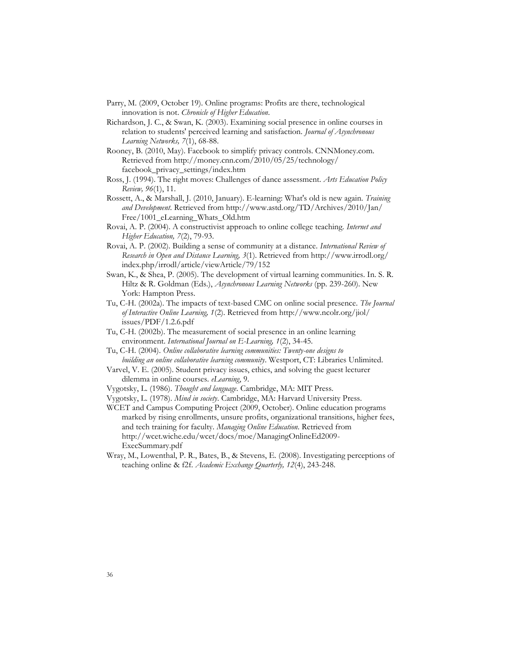- Parry, M. (2009, October 19). Online programs: Profits are there, technological innovation is not. *Chronicle of Higher Education*.
- Richardson, J. C., & Swan, K. (2003). Examining social presence in online courses in relation to students' perceived learning and satisfaction. *Journal of Asynchronous Learning Networks, 7*(1), 68-88.
- Rooney, B. (2010, May). Facebook to simplify privacy controls. CNNMoney.com. Retrieved from http://money.cnn.com/2010/05/25/technology/ facebook\_privacy\_settings/index.htm
- Ross, J. (1994). The right moves: Challenges of dance assessment. *Arts Education Policy Review, 96*(1), 11.
- Rossett, A., & Marshall, J. (2010, January). E-learning: What's old is new again. *Training and Development*. Retrieved from http://www.astd.org/TD/Archives/2010/Jan/ Free/1001\_eLearning\_Whats\_Old.htm
- Rovai, A. P. (2004). A constructivist approach to online college teaching. *Internet and Higher Education, 7*(2), 79-93.
- Rovai, A. P. (2002). Building a sense of community at a distance. *International Review of Research in Open and Distance Learning, 3*(1). Retrieved from http://www.irrodl.org/ index.php/irrodl/article/viewArticle/79/152
- Swan, K., & Shea, P. (2005). The development of virtual learning communities. In. S. R. Hiltz & R. Goldman (Eds.), *Asynchronous Learning Networks* (pp. 239-260). New York: Hampton Press.
- Tu, C-H. (2002a). The impacts of text-based CMC on online social presence. *The Journal of Interactive Online Learning, 1*(2). Retrieved from http://www.ncolr.org/jiol/ issues/PDF/1.2.6.pdf
- Tu, C-H. (2002b). The measurement of social presence in an online learning environment. *International Journal on E-Learning, 1*(2), 34-45.
- Tu, C-H. (2004). *Online collaborative learning communities: Twenty-one designs to building an online collaborative learning community*. Westport, CT: Libraries Unlimited.
- Varvel, V. E. (2005). Student privacy issues, ethics, and solving the guest lecturer dilemma in online courses. *eLearning*, 9.
- Vygotsky, L. (1986). *Thought and language*. Cambridge, MA: MIT Press.
- Vygotsky, L. (1978). *Mind in society*. Cambridge, MA: Harvard University Press.
- WCET and Campus Computing Project (2009, October). Online education programs marked by rising enrollments, unsure profits, organizational transitions, higher fees, and tech training for faculty. *Managing Online Education*. Retrieved from http://wcet.wiche.edu/wcet/docs/moe/ManagingOnlineEd2009- ExecSummary.pdf
- Wray, M., Lowenthal, P. R., Bates, B., & Stevens, E. (2008). Investigating perceptions of teaching online & f2f. *Academic Exchange Quarterly, 12*(4), 243-248.